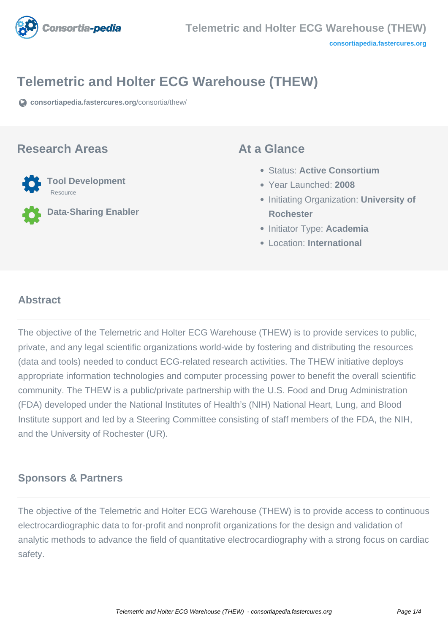

# **Telemetric and Holter ECG Warehouse (THEW)**

**[consortiapedia.fastercures.org](https://consortiapedia.fastercures.org/consortia/thew/)**[/consortia/thew/](https://consortiapedia.fastercures.org/consortia/thew/)

## **Research Areas**



**Data-Sharing Enabler**

## **At a Glance**

- Status: **Active Consortium**
- Year Launched: **2008**
- **Initiating Organization: University of Rochester**
- **Initiator Type: Academia**
- Location: **International**

### $\overline{a}$ **Abstract**

The objective of the Telemetric and Holter ECG Warehouse (THEW) is to provide services to public, private, and any legal scientific organizations world-wide by fostering and distributing the resources (data and tools) needed to conduct ECG-related research activities. The THEW initiative deploys appropriate information technologies and computer processing power to benefit the overall scientific community. The THEW is a public/private partnership with the U.S. Food and Drug Administration (FDA) developed under the National Institutes of Health's (NIH) National Heart, Lung, and Blood Institute support and led by a Steering Committee consisting of staff members of the FDA, the NIH, and the University of Rochester (UR).

## **Sponsors & Partners**

The objective of the Telemetric and Holter ECG Warehouse (THEW) is to provide access to continuous electrocardiographic data to for-profit and nonprofit organizations for the design and validation of analytic methods to advance the field of quantitative electrocardiography with a strong focus on cardiac safety.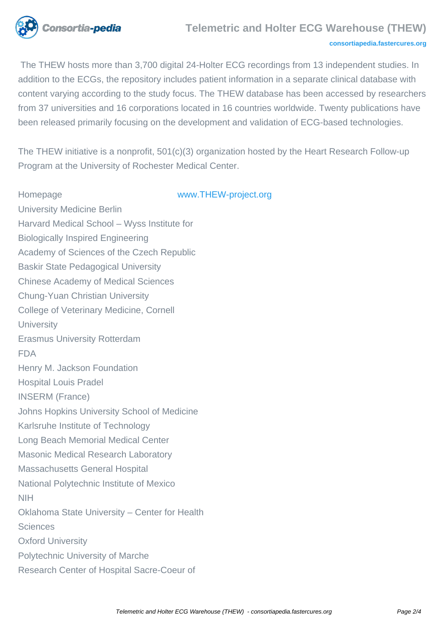

### **Telemetric and Holter ECG Warehouse (THEW)**

#### **[consortiapedia.fastercures.org](http://consortiapedia.fastercures.org/)**

 The THEW hosts more than 3,700 digital 24-Holter ECG recordings from 13 independent studies. In addition to the ECGs, the repository includes patient information in a separate clinical database with content varying according to the study focus. The THEW database has been accessed by researchers from 37 universities and 16 corporations located in 16 countries worldwide. Twenty publications have been released primarily focusing on the development and validation of ECG-based technologies.

The THEW initiative is a nonprofit, 501(c)(3) organization hosted by the Heart Research Follow-up Program at the University of Rochester Medical Center.

Homepage [www.THEW-project.org](http://www.THEW-project.org) University Medicine Berlin Harvard Medical School – Wyss Institute for Biologically Inspired Engineering Academy of Sciences of the Czech Republic Baskir State Pedagogical University Chinese Academy of Medical Sciences Chung-Yuan Christian University College of Veterinary Medicine, Cornell **University** Erasmus University Rotterdam FDA Henry M. Jackson Foundation Hospital Louis Pradel INSERM (France) Johns Hopkins University School of Medicine Karlsruhe Institute of Technology Long Beach Memorial Medical Center Masonic Medical Research Laboratory Massachusetts General Hospital National Polytechnic Institute of Mexico NIH Oklahoma State University – Center for Health **Sciences** Oxford University Polytechnic University of Marche Research Center of Hospital Sacre-Coeur of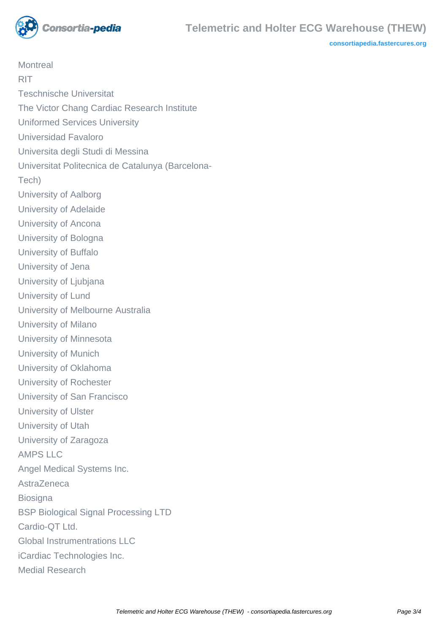

**[consortiapedia.fastercures.org](http://consortiapedia.fastercures.org/)**

**Montreal** RIT Teschnische Universitat The Victor Chang Cardiac Research Institute Uniformed Services University Universidad Favaloro Universita degli Studi di Messina Universitat Politecnica de Catalunya (Barcelona-Tech) University of Aalborg University of Adelaide University of Ancona University of Bologna University of Buffalo University of Jena University of Ljubjana University of Lund University of Melbourne Australia University of Milano University of Minnesota University of Munich University of Oklahoma University of Rochester University of San Francisco University of Ulster University of Utah University of Zaragoza AMPS LLC Angel Medical Systems Inc. AstraZeneca **Biosigna** BSP Biological Signal Processing LTD Cardio-OT Ltd. Global Instrumentrations LLC iCardiac Technologies Inc. Medial Research